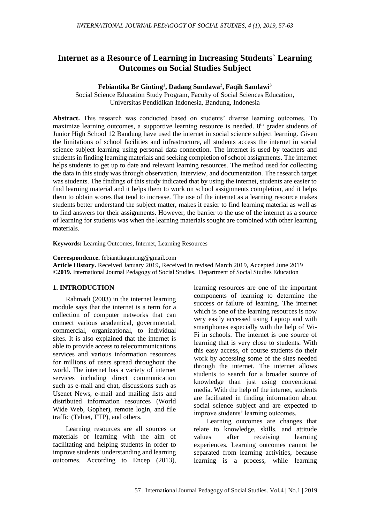# **Internet as a Resource of Learning in Increasing Students` Learning Outcomes on Social Studies Subject**

#### **Febiantika Br Ginting<sup>1</sup> , Dadang Sundawa<sup>2</sup> , Faqih Samlawi<sup>3</sup>**

Social Science Education Study Program, Faculty of Social Sciences Education, Universitas Pendidikan Indonesia, Bandung, Indonesia

**Abstract.** This research was conducted based on students' diverse learning outcomes. To maximize learning outcomes, a supportive learning resource is needed. 8<sup>th</sup> grader students of Junior High School 12 Bandung have used the internet in social science subject learning. Given the limitations of school facilities and infrastructure, all students access the internet in social science subject learning using personal data connection. The internet is used by teachers and students in finding learning materials and seeking completion of school assignments. The internet helps students to get up to date and relevant learning resources. The method used for collecting the data in this study was through observation, interview, and documentation. The research target was students. The findings of this study indicated that by using the internet, students are easier to find learning material and it helps them to work on school assignments completion, and it helps them to obtain scores that tend to increase. The use of the internet as a learning resource makes students better understand the subject matter, makes it easier to find learning material as well as to find answers for their assignments. However, the barrier to the use of the internet as a source of learning for students was when the learning materials sought are combined with other learning materials.

**Keywords:** Learning Outcomes, Internet, Learning Resources

**Correspondence.** [febiantikaginting@gmail.com](mailto:febiantikaginting@gmail.com)

**Article History.** Received January 2019, Received in revised March 2019, Accepted June 2019 **©2019.** International Journal Pedagogy of Social Studies. Department of Social Studies Education

#### **1. INTRODUCTION**

Rahmadi (2003) in the internet learning module says that the internet is a term for a collection of computer networks that can connect various academical, governmental, commercial, organizational, to individual sites. It is also explained that the internet is able to provide access to telecommunications services and various information resources for millions of users spread throughout the world. The internet has a variety of internet services including direct communication such as e-mail and chat, discussions such as Usenet News, e-mail and mailing lists and distributed information resources (World Wide Web, Gopher), remote login, and file traffic (Telnet, FTP), and others.

Learning resources are all sources or materials or learning with the aim of facilitating and helping students in order to improve students' understanding and learning outcomes. According to Encep (2013), learning resources are one of the important components of learning to determine the success or failure of learning. The internet which is one of the learning resources is now very easily accessed using Laptop and with smartphones especially with the help of Wi-Fi in schools. The internet is one source of learning that is very close to students. With this easy access, of course students do their work by accessing some of the sites needed through the internet. The internet allows students to search for a broader source of knowledge than just using conventional media. With the help of the internet, students are facilitated in finding information about social science subject and are expected to improve students' learning outcomes.

Learning outcomes are changes that relate to knowledge, skills, and attitude values after receiving learning experiences. Learning outcomes cannot be separated from learning activities, because learning is a process, while learning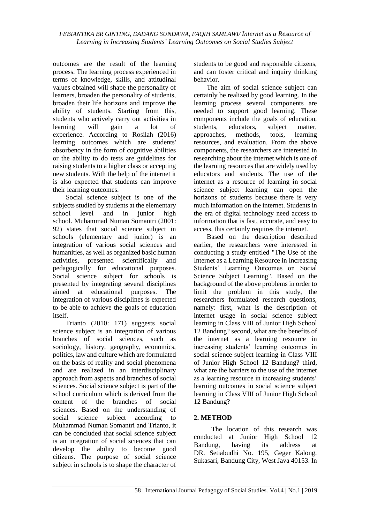outcomes are the result of the learning process. The learning process experienced in terms of knowledge, skills, and attitudinal values obtained will shape the personality of learners, broaden the personality of students, broaden their life horizons and improve the ability of students. Starting from this, students who actively carry out activities in learning will gain a lot of experience. According to Rosilah (2016) learning outcomes which are students' absorbency in the form of cognitive abilities or the ability to do tests are guidelines for raising students to a higher class or accepting new students. With the help of the internet it is also expected that students can improve their learning outcomes.

Social science subject is one of the subjects studied by students at the elementary school level and in junior high school. Muhammad Numan Somantri (2001: 92) states that social science subject in schools (elementary and junior) is an integration of various social sciences and humanities, as well as organized basic human activities, presented scientifically and pedagogically for educational purposes. Social science subject for schools is presented by integrating several disciplines aimed at educational purposes. The integration of various disciplines is expected to be able to achieve the goals of education itself.

Trianto (2010: 171) suggests social science subject is an integration of various branches of social sciences, such as sociology, history, geography, economics, politics, law and culture which are formulated on the basis of reality and social phenomena and are realized in an interdisciplinary approach from aspects and branches of social sciences. Social science subject is part of the school curriculum which is derived from the content of the branches of social sciences. Based on the understanding of social science subject according to Muhammad Numan Somantri and Trianto, it can be concluded that social science subject is an integration of social sciences that can develop the ability to become good citizens. The purpose of social science subject in schools is to shape the character of students to be good and responsible citizens, and can foster critical and inquiry thinking behavior.

The aim of social science subject can certainly be realized by good learning. In the learning process several components are needed to support good learning. These components include the goals of education, students, educators, subject matter, approaches, methods, tools, learning resources, and evaluation. From the above components, the researchers are interested in researching about the internet which is one of the learning resources that are widely used by educators and students. The use of the internet as a resource of learning in social science subject learning can open the horizons of students because there is very much information on the internet. Students in the era of digital technology need access to information that is fast, accurate, and easy to access, this certainly requires the internet.

Based on the description described earlier, the researchers were interested in conducting a study entitled "The Use of the Internet as a Learning Resource in Increasing Students' Learning Outcomes on Social Science Subject Learning". Based on the background of the above problems in order to limit the problem in this study, the researchers formulated research questions, namely: first, what is the description of internet usage in social science subject learning in Class VIII of Junior High School 12 Bandung? second, what are the benefits of the internet as a learning resource in increasing students' learning outcomes in social science subject learning in Class VIII of Junior High School 12 Bandung? third, what are the barriers to the use of the internet as a learning resource in increasing students' learning outcomes in social science subject learning in Class VIII of Junior High School 12 Bandung?

# **2. METHOD**

The location of this research was conducted at Junior High School 12 Bandung, having its address at DR. Setiabudhi No. 195, Geger Kalong, Sukasari, Bandung City, West Java 40153. In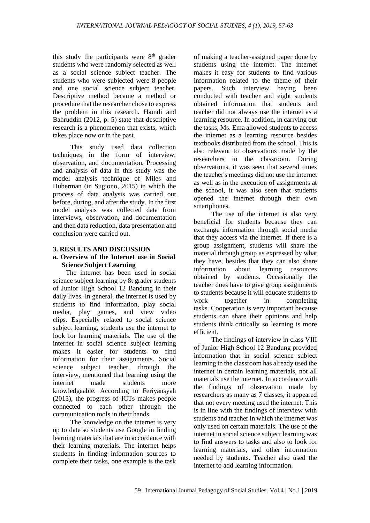this study the participants were  $8<sup>th</sup>$  grader students who were randomly selected as well as a social science subject teacher. The students who were subjected were 8 people and one social science subject teacher. Descriptive method became a method or procedure that the researcher chose to express the problem in this research. Hamdi and Bahruddin (2012, p. 5) state that descriptive research is a phenomenon that exists, which takes place now or in the past.

This study used data collection techniques in the form of interview, observation, and documentation. Processing and analysis of data in this study was the model analysis technique of Miles and Huberman (in Sugiono, 2015) in which the process of data analysis was carried out before, during, and after the study. In the first model analysis was collected data from interviews, observation, and documentation and then data reduction, data presentation and conclusion were carried out.

#### **3. RESULTS AND DISCUSSION**

#### **a. Overview of the Internet use in Social Science Subject Learning**

The internet has been used in social science subject learning by 8t grader students of Junior High School 12 Bandung in their daily lives. In general, the internet is used by students to find information, play social media, play games, and view video clips. Especially related to social science subject learning, students use the internet to look for learning materials. The use of the internet in social science subject learning makes it easier for students to find information for their assignments. Social science subject teacher, through the interview, mentioned that learning using the internet made students more knowledgeable. According to Feriyansyah (2015), the progress of ICTs makes people connected to each other through the communication tools in their hands.

The knowledge on the internet is very up to date so students use Google in finding learning materials that are in accordance with their learning materials. The internet helps students in finding information sources to complete their tasks, one example is the task of making a teacher-assigned paper done by students using the internet. The internet makes it easy for students to find various information related to the theme of their papers. Such interview having been conducted with teacher and eight students obtained information that students and teacher did not always use the internet as a learning resource. In addition, in carrying out the tasks, Ms. Ema allowed students to access the internet as a learning resource besides textbooks distributed from the school. This is also relevant to observations made by the researchers in the classroom. During observations, it was seen that several times the teacher's meetings did not use the internet as well as in the execution of assignments at the school, it was also seen that students opened the internet through their own smartphones.

The use of the internet is also very beneficial for students because they can exchange information through social media that they access via the internet. If there is a group assignment, students will share the material through group as expressed by what they have, besides that they can also share information about learning resources obtained by students. Occasionally the teacher does have to give group assignments to students because it will educate students to work together in completing tasks. Cooperation is very important because students can share their opinions and help students think critically so learning is more efficient.

The findings of interview in class VIII of Junior High School 12 Bandung provided information that in social science subject learning in the classroom has already used the internet in certain learning materials, not all materials use the internet. In accordance with the findings of observation made by researchers as many as 7 classes, it appeared that not every meeting used the internet. This is in line with the findings of interview with students and teacher in which the internet was only used on certain materials. The use of the internet in social science subject learning was to find answers to tasks and also to look for learning materials, and other information needed by students. Teacher also used the internet to add learning information.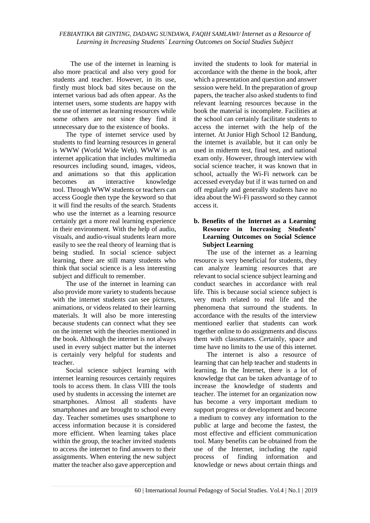The use of the internet in learning is also more practical and also very good for students and teacher. However, in its use, firstly must block bad sites because on the internet various bad ads often appear. As the internet users, some students are happy with the use of internet as learning resources while some others are not since they find it unnecessary due to the existence of books.

The type of internet service used by students to find learning resources in general is WWW (World Wide Web). WWW is an internet application that includes multimedia resources including sound, images, videos, and animations so that this application becomes an interactive knowledge tool. Through WWW students or teachers can access Google then type the keyword so that it will find the results of the search. Students who use the internet as a learning resource certainly get a more real learning experience in their environment. With the help of audio, visuals, and audio-visual students learn more easily to see the real theory of learning that is being studied. In social science subject learning, there are still many students who think that social science is a less interesting subject and difficult to remember.

The use of the internet in learning can also provide more variety to students because with the internet students can see pictures, animations, or videos related to their learning materials. It will also be more interesting because students can connect what they see on the internet with the theories mentioned in the book. Although the internet is not always used in every subject matter but the internet is certainly very helpful for students and teacher.

Social science subject learning with internet learning resources certainly requires tools to access them. In class VIII the tools used by students in accessing the internet are smartphones. Almost all students have smartphones and are brought to school every day. Teacher sometimes uses smartphone to access information because it is considered more efficient. When learning takes place within the group, the teacher invited students to access the internet to find answers to their assignments. When entering the new subject matter the teacher also gave apperception and invited the students to look for material in accordance with the theme in the book, after which a presentation and question and answer session were held. In the preparation of group papers, the teacher also asked students to find relevant learning resources because in the book the material is incomplete. Facilities at the school can certainly facilitate students to access the internet with the help of the internet. At Junior High School 12 Bandung, the internet is available, but it can only be used in midterm test, final test, and national exam only. However, through interview with social science teacher, it was known that in school, actually the Wi-Fi network can be accessed everyday but if it was turned on and off regularly and generally students have no idea about the Wi-Fi password so they cannot access it.

## **b. Benefits of the Internet as a Learning Resource in Increasing Students' Learning Outcomes on Social Science Subject Learning**

The use of the internet as a learning resource is very beneficial for students, they can analyze learning resources that are relevant to social science subject learning and conduct searches in accordance with real life. This is because social science subject is very much related to real life and the phenomena that surround the students. In accordance with the results of the interview mentioned earlier that students can work together online to do assignments and discuss them with classmates. Certainly, space and time have no limits to the use of this internet.

The internet is also a resource of learning that can help teacher and students in learning. In the Internet, there is a lot of knowledge that can be taken advantage of to increase the knowledge of students and teacher. The internet for an organization now has become a very important medium to support progress or development and become a medium to convey any information to the public at large and become the fastest, the most effective and efficient communication tool. Many benefits can be obtained from the use of the Internet, including the rapid process of finding information and knowledge or news about certain things and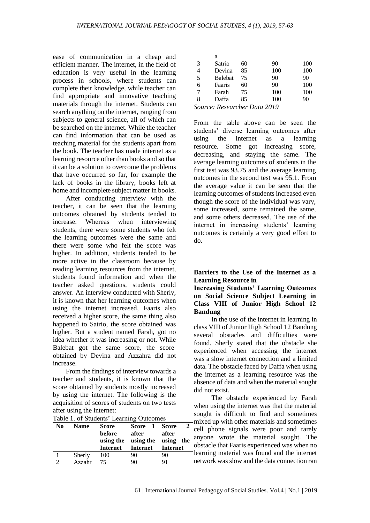ease of communication in a cheap and efficient manner. The internet, in the field of education is very useful in the learning process in schools, where students can complete their knowledge, while teacher can find appropriate and innovative teaching materials through the internet. Students can search anything on the internet, ranging from subjects to general science, all of which can be searched on the internet. While the teacher can find information that can be used as teaching material for the students apart from the book. The teacher has made internet as a learning resource other than books and so that it can be a solution to overcome the problems that have occurred so far, for example the lack of books in the library, books left at home and incomplete subject matter in books.

After conducting interview with the teacher, it can be seen that the learning outcomes obtained by students tended to increase. Whereas when interviewing students, there were some students who felt the learning outcomes were the same and there were some who felt the score was higher. In addition, students tended to be more active in the classroom because by reading learning resources from the internet, students found information and when the teacher asked questions, students could answer. An interview conducted with Sherly, it is known that her learning outcomes when using the internet increased, Faaris also received a higher score, the same thing also happened to Satrio, the score obtained was higher. But a student named Farah, got no idea whether it was increasing or not. While Balebat got the same score, the score obtained by Devina and Azzahra did not increase.

From the findings of interview towards a teacher and students, it is known that the score obtained by students mostly increased by using the internet. The following is the acquisition of scores of students on two tests after using the internet:

| Table 1. Of Students' Learning Outcomes |             |                     |                    |                    |  |  |  |
|-----------------------------------------|-------------|---------------------|--------------------|--------------------|--|--|--|
| N <sub>0</sub>                          | <b>Name</b> | <b>Score</b>        | Score 1 Score      |                    |  |  |  |
|                                         |             | before<br>using the | after<br>using the | after<br>using the |  |  |  |
|                                         |             |                     |                    | Internet           |  |  |  |
|                                         |             | Internet            | Internet           |                    |  |  |  |
|                                         | Sherly      | 100                 | 90                 | 90                 |  |  |  |

 $T_{\text{obs}}$  1. of Students' Learning Out

|                                  | a       |    |     |     |  |  |  |
|----------------------------------|---------|----|-----|-----|--|--|--|
| 3                                | Satrio  | 60 | 90  | 100 |  |  |  |
|                                  | Devina  | 85 | 100 | 100 |  |  |  |
| 5                                | Balebat | 75 | 90  | 90  |  |  |  |
| 6                                | Faaris  | 60 | 90  | 100 |  |  |  |
|                                  | Farah   | 75 | 100 | 100 |  |  |  |
| 8                                | Daffa   | 85 | 100 | 90  |  |  |  |
| $Squation$ Desegnation Data 2010 |         |    |     |     |  |  |  |

*Source: Researcher Data 2019*

From the table above can be seen the students' diverse learning outcomes after using the internet as a learning resource. Some got increasing score, decreasing, and staying the same. The average learning outcomes of students in the first test was 93.75 and the average learning outcomes in the second test was 95.1. From the average value it can be seen that the learning outcomes of students increased even though the score of the individual was vary, some increased, some remained the same, and some others decreased. The use of the internet in increasing students' learning outcomes is certainly a very good effort to do.

#### **Barriers to the Use of the Internet as a Learning Resource in**

**Increasing Students' Learning Outcomes on Social Science Subject Learning in Class VIII of Junior High School 12 Bandung**

In the use of the internet in learning in class VIII of Junior High School 12 Bandung several obstacles and difficulties were found. Sherly stated that the obstacle she experienced when accessing the internet was a slow internet connection and a limited data. The obstacle faced by Daffa when using the internet as a learning resource was the absence of data and when the material sought did not exist.

The obstacle experienced by Farah when using the internet was that the material sought is difficult to find and sometimes mixed up with other materials and sometimes cell phone signals were poor and rarely anyone wrote the material sought. The obstacle that Faaris experienced was when no learning material was found and the internet network was slow and the data connection ran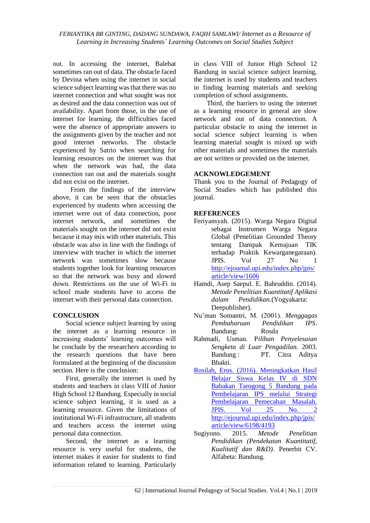out. In accessing the internet, Balebat sometimes ran out of data. The obstacle faced by Devina when using the internet in social science subject learning was that there was no internet connection and what sought was not as desired and the data connection was out of availability. Apart from those, in the use of internet for learning, the difficulties faced were the absence of appropriate answers to the assignments given by the teacher and not good internet networks. The obstacle experienced by Satrio when searching for learning resources on the internet was that when the network was bad, the data connection ran out and the materials sought did not exist on the internet.

From the findings of the interview above, it can be seen that the obstacles experienced by students when accessing the internet were out of data connection, poor internet network, and sometimes the materials sought on the internet did not exist because it may mix with other materials. This obstacle was also in line with the findings of interview with teacher in which the internet network was sometimes slow because students together look for learning resources so that the network was busy and slowed down. Restrictions on the use of Wi-Fi in school made students have to access the internet with their personal data connection.

## **CONCLUSION**

Social science subject learning by using the internet as a learning resource in increasing students' learning outcomes will be conclude by the researchers according to the research questions that have been formulated at the beginning of the discussion section. Here is the conclusion:

First, generally the internet is used by students and teachers in class VIII of Junior High School 12 Bandung. Especially in social science subject learning, it is used as a learning resource. Given the limitations of institutional Wi-Fi infrastructure, all students and teachers access the internet using personal data connection.

Second, the internet as a learning resource is very useful for students, the internet makes it easier for students to find information related to learning. Particularly in class VIII of Junior High School 12 Bandung in social science subject learning, the internet is used by students and teachers in finding learning materials and seeking completion of school assignments.

Third, the barriers to using the internet as a learning resource in general are slow network and out of data connection. A particular obstacle to using the internet in social science subject learning is when learning material sought is mixed up with other materials and sometimes the materials are not written or provided on the internet.

## **ACKNOWLEDGEMENT**

Thank you to the Journal of Pedagogy of Social Studies which has published this journal.

## **REFERENCES**

- Feriyansyah. (2015). Warga Negara Digital sebagai Instrumen Warga Negara Global (Penelitian Grounded Theory tentang Dampak Kemajuan TIK terhadap Praktik Kewarganegaraan). JPIS. Vol 27 No 1 [http://ejournal.upi.edu/index.php/jpis/](http://ejournal.upi.edu/index.php/jpis/article/view/1606) [article/view/1606](http://ejournal.upi.edu/index.php/jpis/article/view/1606)
- Hamdi, Asep Saepul. E. Bahruddin. (2014). *Metode Penelitian Kuantitatif Aplikasi dalam Pendidikan.*(Yogyakarta: Deepublisher).
- Nu'man Somantri, M. (2001). *Menggagas Pembaharuan Pendidikan IPS*. Bandung: Rosda
- Rahmadi, Usman. P*ilihan Penyelesaian Sengketa di Luar Pengadilan.* 2003. Bandung : PT. Citra Aditya Bhakti.
- Rosilah, Eros. (2016). Meningkatkan Hasil Belajar Siswa Kelas IV di SDN Babakan Tarogong 5 Bandung pada Pembelajaran IPS melalui Strategi Pembelajaran Pemecahan Masalah. JPIS. Vol 25 No. 2 [http://ejournal.upi.edu/index.php/jpis/](http://ejournal.upi.edu/index.php/jpis/article/view/6198/4193) [article/view/6198/4193](http://ejournal.upi.edu/index.php/jpis/article/view/6198/4193)
- Sugiyono. 2015. *Metode Penelitian Pendidikan (Pendekatan Kuantitatif, Kualitatif dan R&D).* Penerbit CV. Alfabeta: Bandung.